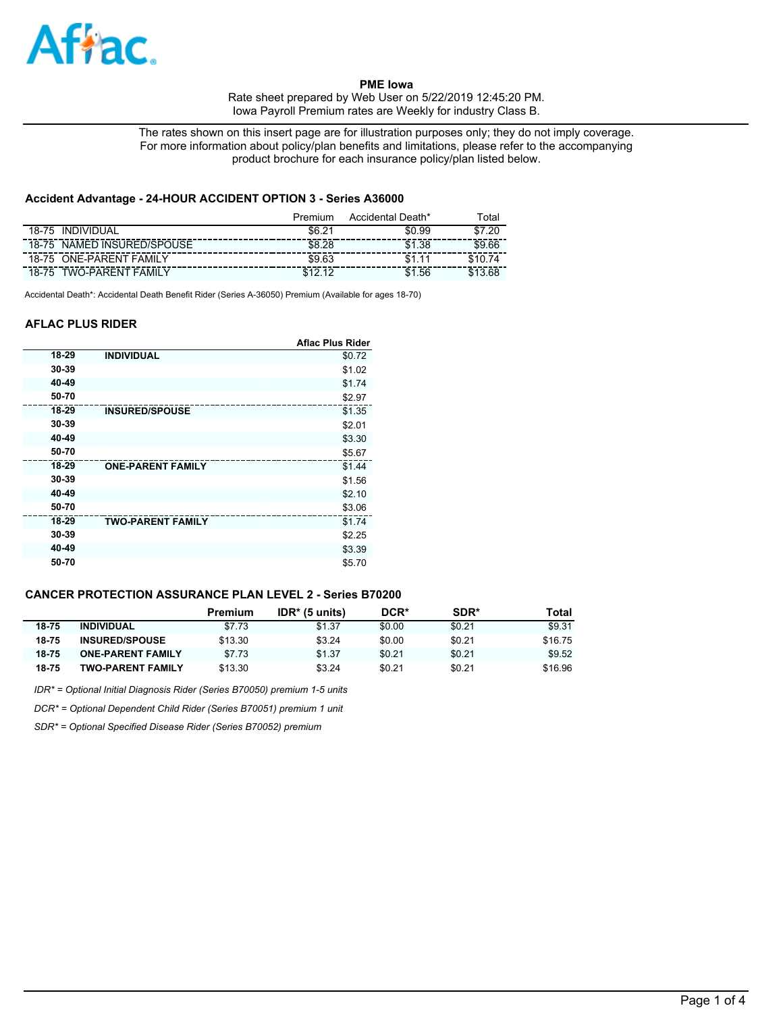

The rates shown on this insert page are for illustration purposes only; they do not imply coverage. For more information about policy/plan benefits and limitations, please refer to the accompanying product brochure for each insurance policy/plan listed below.

## **Accident Advantage - 24-HOUR ACCIDENT OPTION 3 - Series A36000**

|                                   | Premium    | Accidental Death* | <sup>г</sup> otal |
|-----------------------------------|------------|-------------------|-------------------|
| <b>INDIVIDUAL</b><br>18-75        | \$6.21     | \$0.99            | .20<br>\$7        |
| NAMED INSURED/SPOUSE<br>$18 - 75$ | \$8.28     | \$1.38            | \$9.66            |
| <b>ONE-PARENT FAMILY</b><br>18-75 | \$9.63     |                   |                   |
| <b>TWO-PARENT FAMILY</b><br>18-75 | <b>C19</b> | .56               |                   |

Accidental Death\*: Accidental Death Benefit Rider (Series A-36050) Premium (Available for ages 18-70)

## **AFLAC PLUS RIDER**

|       |                          | <b>Aflac Plus Rider</b> |
|-------|--------------------------|-------------------------|
| 18-29 | <b>INDIVIDUAL</b>        | \$0.72                  |
| 30-39 |                          | \$1.02                  |
| 40-49 |                          | \$1.74                  |
| 50-70 |                          | \$2.97                  |
| 18-29 | <b>INSURED/SPOUSE</b>    | \$1.35                  |
| 30-39 |                          | \$2.01                  |
| 40-49 |                          | \$3.30                  |
| 50-70 |                          | \$5.67                  |
| 18-29 | <b>ONE-PARENT FAMILY</b> | \$1.44                  |
| 30-39 |                          | \$1.56                  |
| 40-49 |                          | \$2.10                  |
| 50-70 |                          | \$3.06                  |
| 18-29 | <b>TWO-PARENT FAMILY</b> | \$1.74                  |
| 30-39 |                          | \$2.25                  |
| 40-49 |                          | \$3.39                  |
| 50-70 |                          | \$5.70                  |

## **CANCER PROTECTION ASSURANCE PLAN LEVEL 2 - Series B70200**

|       |                          | Premium | $IDR* (5 units)$ | DCR*   | SDR*   | Total   |
|-------|--------------------------|---------|------------------|--------|--------|---------|
| 18-75 | <b>INDIVIDUAL</b>        | \$7.73  | \$1.37           | \$0.00 | \$0.21 | \$9.31  |
| 18-75 | <b>INSURED/SPOUSE</b>    | \$13.30 | \$3.24           | \$0.00 | \$0.21 | \$16.75 |
| 18-75 | <b>ONE-PARENT FAMILY</b> | \$7.73  | \$1.37           | \$0.21 | \$0.21 | \$9.52  |
| 18-75 | <b>TWO-PARENT FAMILY</b> | \$13.30 | \$3.24           | \$0.21 | \$0.21 | \$16.96 |

*IDR\* = Optional Initial Diagnosis Rider (Series B70050) premium 1-5 units*

*DCR\* = Optional Dependent Child Rider (Series B70051) premium 1 unit*

*SDR\* = Optional Specified Disease Rider (Series B70052) premium*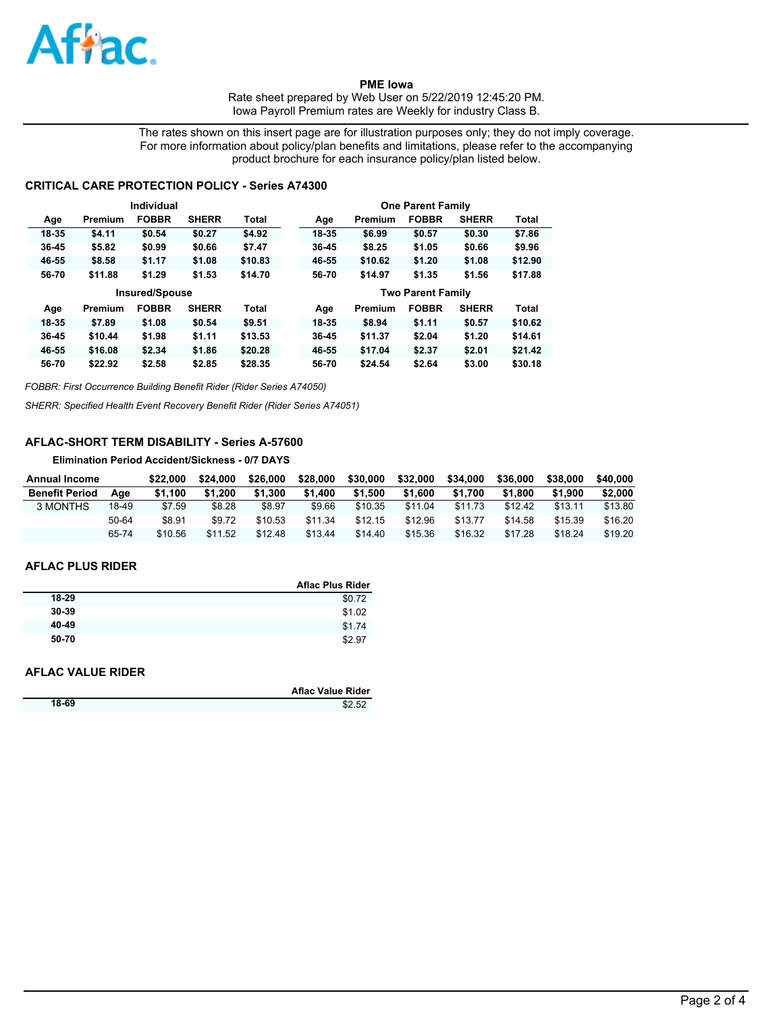

The rates shown on this insert page are for illustration purposes only; they do not imply coverage. For more information about policy/plan benefits and limitations, please refer to the accompanying product brochure for each insurance policy/plan listed below.

## **CRITICAL CARE PROTECTION POLICY - Series A74300**

|           |         | Individual            |              |              |       |         | <b>One Parent Family</b> |              |              |
|-----------|---------|-----------------------|--------------|--------------|-------|---------|--------------------------|--------------|--------------|
| Age       | Premium | <b>FOBBR</b>          | <b>SHERR</b> | Total        | Age   | Premium | <b>FOBBR</b>             | <b>SHERR</b> | Total        |
| 18-35     | \$4.11  | \$0.54                | \$0.27       | \$4.92       | 18-35 | \$6.99  | \$0.57                   | \$0.30       | \$7.86       |
| 36-45     | \$5.82  | \$0.99                | \$0.66       | \$7.47       | 36-45 | \$8.25  | \$1.05                   | \$0.66       | \$9.96       |
| 46-55     | \$8.58  | \$1.17                | \$1.08       | \$10.83      | 46-55 | \$10.62 | \$1.20                   | \$1.08       | \$12.90      |
| 56-70     | \$11.88 | \$1.29                | \$1.53       | \$14.70      | 56-70 | \$14.97 | \$1.35                   | \$1.56       | \$17.88      |
|           |         |                       |              |              |       |         |                          |              |              |
|           |         | <b>Insured/Spouse</b> |              |              |       |         | <b>Two Parent Family</b> |              |              |
| Age       | Premium | <b>FOBBR</b>          | <b>SHERR</b> | <b>Total</b> | Age   | Premium | <b>FOBBR</b>             | <b>SHERR</b> | <b>Total</b> |
| 18-35     | \$7.89  | \$1.08                | \$0.54       | \$9.51       | 18-35 | \$8.94  | \$1.11                   | \$0.57       | \$10.62      |
| $36 - 45$ | \$10.44 | \$1.98                | \$1.11       | \$13.53      | 36-45 | \$11.37 | \$2.04                   | \$1.20       | \$14.61      |
| 46-55     | \$16.08 | \$2.34                | \$1.86       | \$20.28      | 46-55 | \$17.04 | \$2.37                   | \$2.01       | \$21.42      |

*FOBBR: First Occurrence Building Benefit Rider (Rider Series A74050)*

*SHERR: Specified Health Event Recovery Benefit Rider (Rider Series A74051)*

## **AFLAC-SHORT TERM DISABILITY - Series A-57600**

**Elimination Period Accident/Sickness - 0/7 DAYS**

| <b>Annual Income</b>  |       | \$22.000 | \$24.000 | \$26,000 | \$28,000 | \$30,000 | \$32,000 | \$34,000 | \$36,000 | \$38,000 | \$40,000 |
|-----------------------|-------|----------|----------|----------|----------|----------|----------|----------|----------|----------|----------|
| <b>Benefit Period</b> | Aae   | \$1.100  | \$1.200  | \$1.300  | \$1.400  | \$1.500  | \$1.600  | \$1.700  | \$1.800  | \$1,900  | \$2,000  |
| 3 MONTHS              | 18-49 | \$7.59   | \$8.28   | \$8.97   | \$9.66   | \$10.35  | \$11.04  | \$11.73  | \$12.42  | \$13.11  | \$13.80  |
|                       | 50-64 | \$8.91   | \$9.72   | \$10.53  | \$11.34  | \$12.15  | \$12.96  | \$13.77  | \$14.58  | \$15.39  | \$16.20  |
|                       | 65-74 | \$10.56  | \$11.52  | \$12.48  | \$13.44  | \$14.40  | \$15.36  | \$16.32  | \$17.28  | \$18.24  | \$19.20  |

#### **AFLAC PLUS RIDER**

|       | <b>Aflac Plus Rider</b> |
|-------|-------------------------|
| 18-29 | \$0.72                  |
| 30-39 | \$1.02                  |
| 40-49 | \$1.74                  |
| 50-70 | \$2.97                  |

#### **AFLAC VALUE RIDER**

|       | <b>Aflac Value Rider</b> |
|-------|--------------------------|
| 18-69 | \$2.52                   |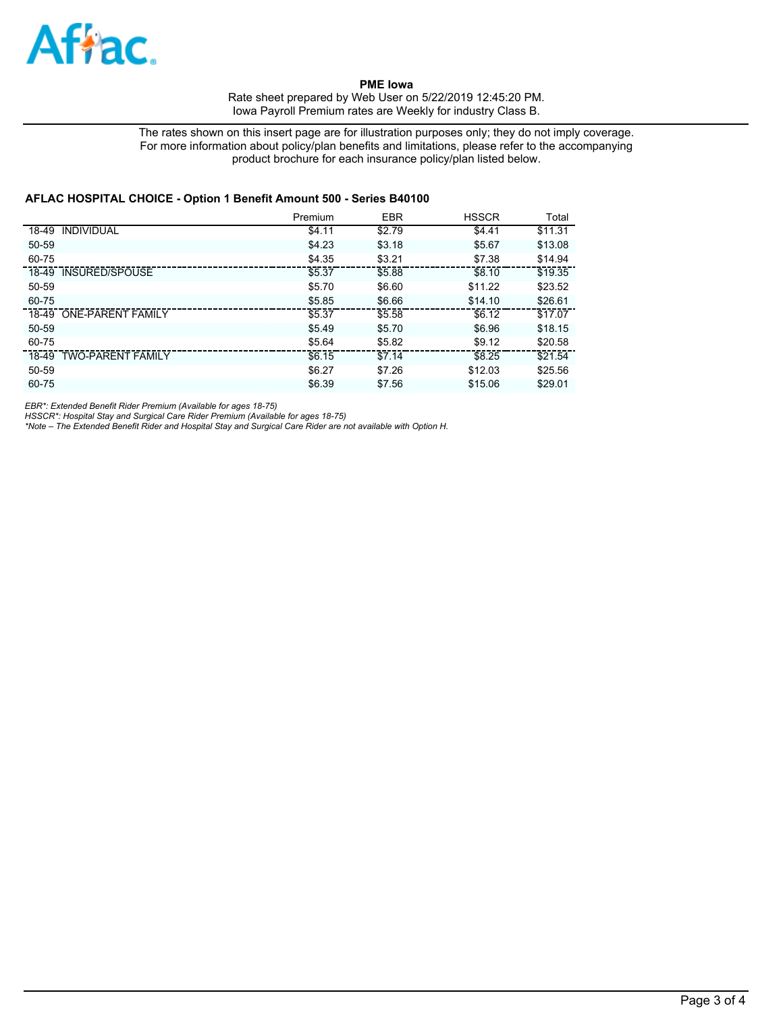

The rates shown on this insert page are for illustration purposes only; they do not imply coverage. For more information about policy/plan benefits and limitations, please refer to the accompanying product brochure for each insurance policy/plan listed below.

## **AFLAC HOSPITAL CHOICE - Option 1 Benefit Amount 500 - Series B40100**

|                         | Premium | <b>EBR</b> | <b>HSSCR</b> | Total   |
|-------------------------|---------|------------|--------------|---------|
| 18-49 INDIVIDUAL        | \$4.11  | \$2.79     | \$4.41       | \$11.31 |
| $50 - 59$               | \$4.23  | \$3.18     | \$5.67       | \$13.08 |
| 60-75                   | \$4.35  | \$3.21     | \$7.38       | \$14.94 |
| 18-49 INSURED/SPOUSE    | \$5.37  | \$5.88     | \$8.10       | \$19.35 |
| 50-59                   | \$5.70  | \$6.60     | \$11.22      | \$23.52 |
| 60-75                   | \$5.85  | \$6.66     | \$14.10      | \$26.61 |
| 18-49 ONE-PARENT FAMILY | \$5.37  | \$5.58     | \$6.12       | \$17.07 |
| 50-59                   | \$5.49  | \$5.70     | \$6.96       | \$18.15 |
| 60-75                   | \$5.64  | \$5.82     | \$9.12       | \$20.58 |
| 18-49 TWO-PARENT FAMILY | \$6.15  | \$7.14     | \$8.25       | \$21.54 |
| 50-59                   | \$6.27  | \$7.26     | \$12.03      | \$25.56 |
| 60-75                   | \$6.39  | \$7.56     | \$15.06      | \$29.01 |

*EBR\*: Extended Benefit Rider Premium (Available for ages 18-75)*

*HSSCR\*: Hospital Stay and Surgical Care Rider Premium (Available for ages 18-75) \*Note – The Extended Benefit Rider and Hospital Stay and Surgical Care Rider are not available with Option H.*